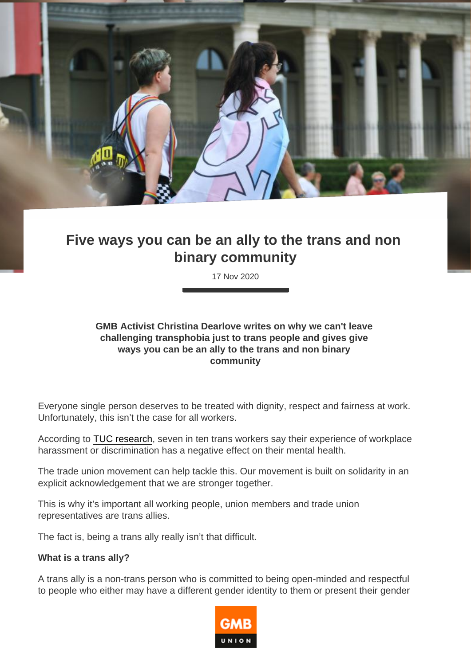# Five ways you can be an ally to the trans and non binary community

17 Nov 2020

GMB Activist Christina Dearlove writes on why we can't leave challenging transphobia just to trans people and gives give ways you can be an ally to the trans and non binary community

Everyone single person deserves to be treated with dignity, respect and fairness at work. Unfortunately, this isn't the case for all workers.

According to [TUC research,](https://www.tuc.org.uk/news/nearly-7-10-lgbt-people-say-they-have-been-sexually-harassed-work-says-tuc) seven in ten trans workers say their experience of workplace harassment or discrimination has a negative effect on their mental health.

The trade union movement can help tackle this. Our movement is built on solidarity in an explicit acknowledgement that we are stronger together.

This is why it's important all working people, union members and trade union representatives are trans allies.

The fact is, being a trans ally really isn't that difficult.

What is a trans ally?

A trans ally is a non-trans person who is committed to being open-minded and respectful to people who either may have a different gender identity to them or present their gender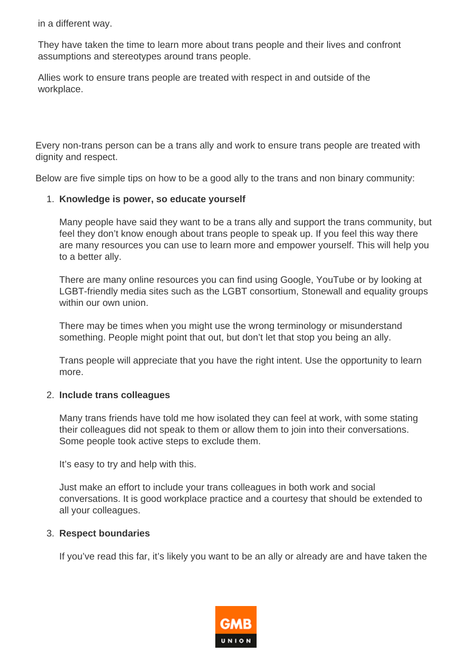in a different way.

They have taken the time to learn more about trans people and their lives and confront assumptions and stereotypes around trans people.

Allies work to ensure trans people are treated with respect in and outside of the workplace.

Every non-trans person can be a trans ally and work to ensure trans people are treated with dignity and respect.

Below are five simple tips on how to be a good ally to the trans and non binary community:

## 1. **Knowledge is power, so educate yourself**

Many people have said they want to be a trans ally and support the trans community, but feel they don't know enough about trans people to speak up. If you feel this way there are many resources you can use to learn more and empower yourself. This will help you to a better ally.

There are many online resources you can find using Google, YouTube or by looking at LGBT-friendly media sites such as the LGBT consortium, Stonewall and equality groups within our own union

There may be times when you might use the wrong terminology or misunderstand something. People might point that out, but don't let that stop you being an ally.

Trans people will appreciate that you have the right intent. Use the opportunity to learn more.

### 2. **Include trans colleagues**

Many trans friends have told me how isolated they can feel at work, with some stating their colleagues did not speak to them or allow them to join into their conversations. Some people took active steps to exclude them.

It's easy to try and help with this.

Just make an effort to include your trans colleagues in both work and social conversations. It is good workplace practice and a courtesy that should be extended to all your colleagues.

## 3. **Respect boundaries**

If you've read this far, it's likely you want to be an ally or already are and have taken the